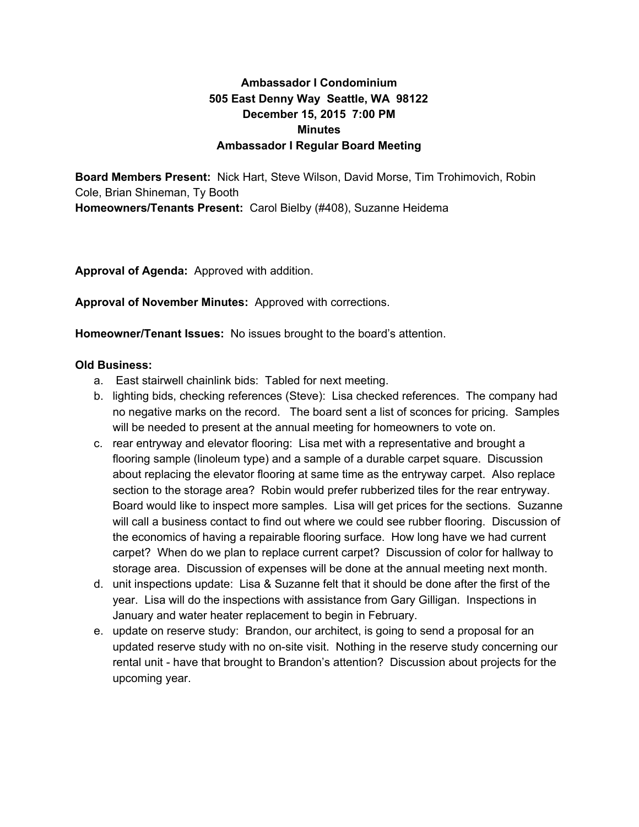## **Ambassador I Condominium 505 East Denny Way Seattle, WA 98122 December 15, 2015 7:00 PM Minutes Ambassador I Regular Board Meeting**

**Board Members Present:** Nick Hart, Steve Wilson, David Morse, Tim Trohimovich, Robin Cole, Brian Shineman, Ty Booth **Homeowners/Tenants Present: Carol Bielby (#408), Suzanne Heidema** 

**Approval of Agenda:** Approved with addition.

**Approval of November Minutes:** Approved with corrections.

**Homeowner/Tenant Issues:** No issues brought to the board's attention.

## **Old Business:**

- a. East stairwell chainlink bids: Tabled for next meeting.
- b. lighting bids, checking references (Steve): Lisa checked references. The company had no negative marks on the record. The board sent a list of sconces for pricing. Samples will be needed to present at the annual meeting for homeowners to vote on.
- c. rear entryway and elevator flooring: Lisa met with a representative and brought a flooring sample (linoleum type) and a sample of a durable carpet square. Discussion about replacing the elevator flooring at same time as the entryway carpet. Also replace section to the storage area? Robin would prefer rubberized tiles for the rear entryway. Board would like to inspect more samples. Lisa will get prices for the sections. Suzanne will call a business contact to find out where we could see rubber flooring. Discussion of the economics of having a repairable flooring surface. How long have we had current carpet? When do we plan to replace current carpet? Discussion of color for hallway to storage area. Discussion of expenses will be done at the annual meeting next month.
- d. unit inspections update: Lisa & Suzanne felt that it should be done after the first of the year. Lisa will do the inspections with assistance from Gary Gilligan. Inspections in January and water heater replacement to begin in February.
- e. update on reserve study: Brandon, our architect, is going to send a proposal for an updated reserve study with no on-site visit. Nothing in the reserve study concerning our rental unit - have that brought to Brandon's attention? Discussion about projects for the upcoming year.